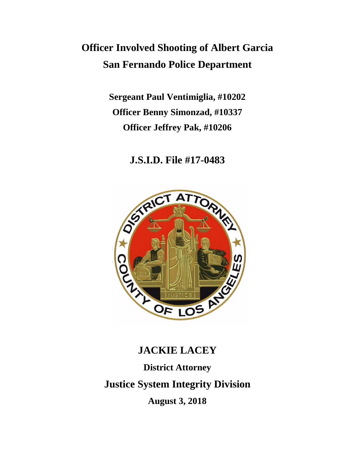# **Officer Involved Shooting of Albert Garcia San Fernando Police Department**

**Sergeant Paul Ventimiglia, #10202 Officer Benny Simonzad, #10337 Officer Jeffrey Pak, #10206**

# **J.S.I.D. File #17-0483**



# **JACKIE LACEY District Attorney Justice System Integrity Division August 3, 2018**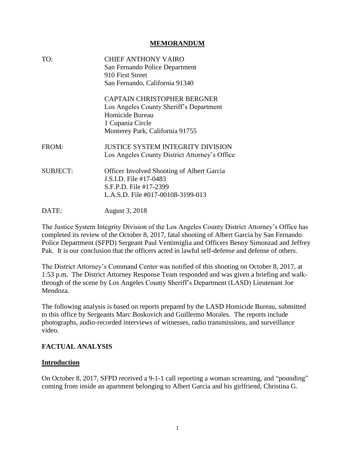#### **MEMORANDUM**

| TO:             | <b>CHIEF ANTHONY VAIRO</b><br>San Fernando Police Department<br>910 First Street<br>San Fernando, California 91340                                      |
|-----------------|---------------------------------------------------------------------------------------------------------------------------------------------------------|
|                 | <b>CAPTAIN CHRISTOPHER BERGNER</b><br>Los Angeles County Sheriff's Department<br>Homicide Bureau<br>1 Cupania Circle<br>Monterey Park, California 91755 |
| FROM:           | <b>JUSTICE SYSTEM INTEGRITY DIVISION</b><br>Los Angeles County District Attorney's Office                                                               |
| <b>SUBJECT:</b> | <b>Officer Involved Shooting of Albert Garcia</b><br>J.S.I.D. File #17-0483<br>S.F.P.D. File #17-2399<br>L.A.S.D. File #017-00108-3199-013              |
| DATE:           | August 3, 2018                                                                                                                                          |

The Justice System Integrity Division of the Los Angeles County District Attorney's Office has completed its review of the October 8, 2017, fatal shooting of Albert Garcia by San Fernando Police Department (SFPD) Sergeant Paul Ventimiglia and Officers Benny Simonzad and Jeffrey Pak. It is our conclusion that the officers acted in lawful self-defense and defense of others.

The District Attorney's Command Center was notified of this shooting on October 8, 2017, at 1:53 p.m. The District Attorney Response Team responded and was given a briefing and walkthrough of the scene by Los Angeles County Sheriff's Department (LASD) Lieutenant Joe Mendoza.

The following analysis is based on reports prepared by the LASD Homicide Bureau, submitted to this office by Sergeants Marc Boskovich and Guillermo Morales. The reports include photographs, audio-recorded interviews of witnesses, radio transmissions, and surveillance video.

#### **FACTUAL ANALYSIS**

#### **Introduction**

On October 8, 2017, SFPD received a 9-1-1 call reporting a woman screaming, and "pounding" coming from inside an apartment belonging to Albert Garcia and his girlfriend, Christina G.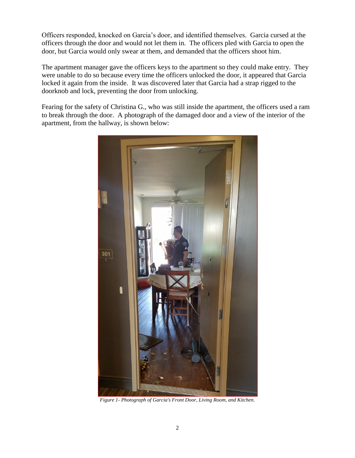Officers responded, knocked on Garcia's door, and identified themselves. Garcia cursed at the officers through the door and would not let them in. The officers pled with Garcia to open the door, but Garcia would only swear at them, and demanded that the officers shoot him.

The apartment manager gave the officers keys to the apartment so they could make entry. They were unable to do so because every time the officers unlocked the door, it appeared that Garcia locked it again from the inside. It was discovered later that Garcia had a strap rigged to the doorknob and lock, preventing the door from unlocking.

Fearing for the safety of Christina G., who was still inside the apartment, the officers used a ram to break through the door. A photograph of the damaged door and a view of the interior of the apartment, from the hallway, is shown below:



*Figure 1- Photograph of Garcia's Front Door, Living Room, and Kitchen.*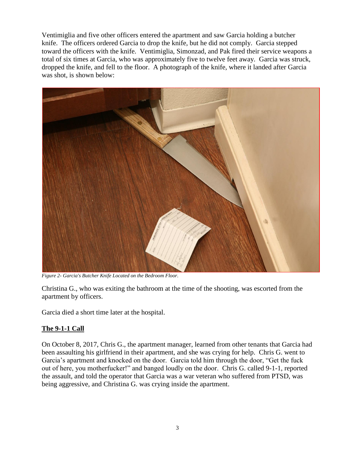Ventimiglia and five other officers entered the apartment and saw Garcia holding a butcher knife. The officers ordered Garcia to drop the knife, but he did not comply. Garcia stepped toward the officers with the knife. Ventimiglia, Simonzad, and Pak fired their service weapons a total of six times at Garcia, who was approximately five to twelve feet away. Garcia was struck, dropped the knife, and fell to the floor. A photograph of the knife, where it landed after Garcia was shot, is shown below:



*Figure 2- Garcia's Butcher Knife Located on the Bedroom Floor.*

Christina G., who was exiting the bathroom at the time of the shooting, was escorted from the apartment by officers.

Garcia died a short time later at the hospital.

## **The 9-1-1 Call**

On October 8, 2017, Chris G., the apartment manager, learned from other tenants that Garcia had been assaulting his girlfriend in their apartment, and she was crying for help. Chris G. went to Garcia's apartment and knocked on the door. Garcia told him through the door, "Get the fuck out of here, you motherfucker!" and banged loudly on the door. Chris G. called 9-1-1, reported the assault, and told the operator that Garcia was a war veteran who suffered from PTSD, was being aggressive, and Christina G. was crying inside the apartment.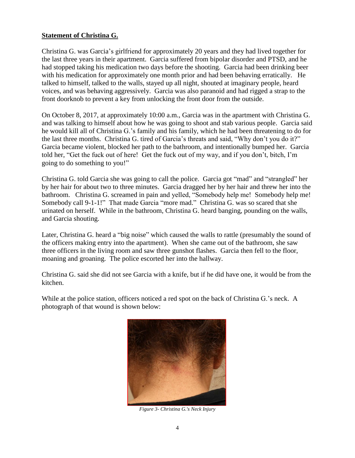#### **Statement of Christina G.**

Christina G. was Garcia's girlfriend for approximately 20 years and they had lived together for the last three years in their apartment. Garcia suffered from bipolar disorder and PTSD, and he had stopped taking his medication two days before the shooting. Garcia had been drinking beer with his medication for approximately one month prior and had been behaving erratically. He talked to himself, talked to the walls, stayed up all night, shouted at imaginary people, heard voices, and was behaving aggressively. Garcia was also paranoid and had rigged a strap to the front doorknob to prevent a key from unlocking the front door from the outside.

On October 8, 2017, at approximately 10:00 a.m., Garcia was in the apartment with Christina G. and was talking to himself about how he was going to shoot and stab various people. Garcia said he would kill all of Christina G.'s family and his family, which he had been threatening to do for the last three months. Christina G. tired of Garcia's threats and said, "Why don't you do it?" Garcia became violent, blocked her path to the bathroom, and intentionally bumped her. Garcia told her, "Get the fuck out of here! Get the fuck out of my way, and if you don't, bitch, I'm going to do something to you!"

Christina G. told Garcia she was going to call the police. Garcia got "mad" and "strangled" her by her hair for about two to three minutes. Garcia dragged her by her hair and threw her into the bathroom. Christina G. screamed in pain and yelled, "Somebody help me! Somebody help me! Somebody call 9-1-1!" That made Garcia "more mad." Christina G. was so scared that she urinated on herself. While in the bathroom, Christina G. heard banging, pounding on the walls, and Garcia shouting.

Later, Christina G. heard a "big noise" which caused the walls to rattle (presumably the sound of the officers making entry into the apartment). When she came out of the bathroom, she saw three officers in the living room and saw three gunshot flashes. Garcia then fell to the floor, moaning and groaning. The police escorted her into the hallway.

Christina G. said she did not see Garcia with a knife, but if he did have one, it would be from the kitchen.

While at the police station, officers noticed a red spot on the back of Christina G.'s neck. A photograph of that wound is shown below:



*Figure 3- Christina G.'s Neck Injury*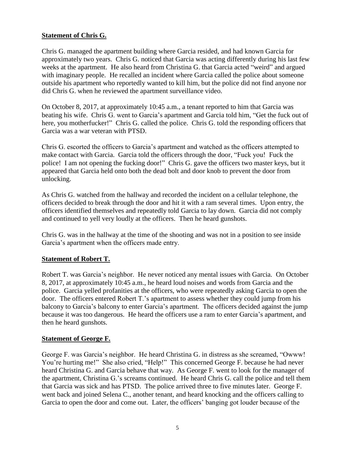# **Statement of Chris G.**

Chris G. managed the apartment building where Garcia resided, and had known Garcia for approximately two years. Chris G. noticed that Garcia was acting differently during his last few weeks at the apartment. He also heard from Christina G. that Garcia acted "weird" and argued with imaginary people. He recalled an incident where Garcia called the police about someone outside his apartment who reportedly wanted to kill him, but the police did not find anyone nor did Chris G. when he reviewed the apartment surveillance video.

On October 8, 2017, at approximately 10:45 a.m., a tenant reported to him that Garcia was beating his wife. Chris G. went to Garcia's apartment and Garcia told him, "Get the fuck out of here, you motherfucker!" Chris G. called the police. Chris G. told the responding officers that Garcia was a war veteran with PTSD.

Chris G. escorted the officers to Garcia's apartment and watched as the officers attempted to make contact with Garcia. Garcia told the officers through the door, "Fuck you! Fuck the police! I am not opening the fucking door!" Chris G. gave the officers two master keys, but it appeared that Garcia held onto both the dead bolt and door knob to prevent the door from unlocking.

As Chris G. watched from the hallway and recorded the incident on a cellular telephone, the officers decided to break through the door and hit it with a ram several times. Upon entry, the officers identified themselves and repeatedly told Garcia to lay down. Garcia did not comply and continued to yell very loudly at the officers. Then he heard gunshots.

Chris G. was in the hallway at the time of the shooting and was not in a position to see inside Garcia's apartment when the officers made entry.

## **Statement of Robert T.**

Robert T. was Garcia's neighbor. He never noticed any mental issues with Garcia. On October 8, 2017, at approximately 10:45 a.m., he heard loud noises and words from Garcia and the police. Garcia yelled profanities at the officers, who were repeatedly asking Garcia to open the door. The officers entered Robert T.'s apartment to assess whether they could jump from his balcony to Garcia's balcony to enter Garcia's apartment. The officers decided against the jump because it was too dangerous. He heard the officers use a ram to enter Garcia's apartment, and then he heard gunshots.

## **Statement of George F.**

George F. was Garcia's neighbor. He heard Christina G. in distress as she screamed, "Owww! You're hurting me!" She also cried, "Help!" This concerned George F. because he had never heard Christina G. and Garcia behave that way. As George F. went to look for the manager of the apartment, Christina G.'s screams continued. He heard Chris G. call the police and tell them that Garcia was sick and has PTSD. The police arrived three to five minutes later. George F. went back and joined Selena C., another tenant, and heard knocking and the officers calling to Garcia to open the door and come out. Later, the officers' banging got louder because of the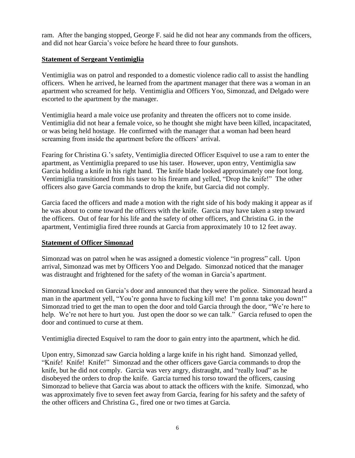ram. After the banging stopped, George F. said he did not hear any commands from the officers, and did not hear Garcia's voice before he heard three to four gunshots.

# **Statement of Sergeant Ventimiglia**

Ventimiglia was on patrol and responded to a domestic violence radio call to assist the handling officers. When he arrived, he learned from the apartment manager that there was a woman in an apartment who screamed for help. Ventimiglia and Officers Yoo, Simonzad, and Delgado were escorted to the apartment by the manager.

Ventimiglia heard a male voice use profanity and threaten the officers not to come inside. Ventimiglia did not hear a female voice, so he thought she might have been killed, incapacitated, or was being held hostage. He confirmed with the manager that a woman had been heard screaming from inside the apartment before the officers' arrival.

Fearing for Christina G.'s safety, Ventimiglia directed Officer Esquivel to use a ram to enter the apartment, as Ventimiglia prepared to use his taser. However, upon entry, Ventimiglia saw Garcia holding a knife in his right hand. The knife blade looked approximately one foot long. Ventimiglia transitioned from his taser to his firearm and yelled, "Drop the knife!" The other officers also gave Garcia commands to drop the knife, but Garcia did not comply.

Garcia faced the officers and made a motion with the right side of his body making it appear as if he was about to come toward the officers with the knife. Garcia may have taken a step toward the officers. Out of fear for his life and the safety of other officers, and Christina G. in the apartment, Ventimiglia fired three rounds at Garcia from approximately 10 to 12 feet away.

## **Statement of Officer Simonzad**

Simonzad was on patrol when he was assigned a domestic violence "in progress" call. Upon arrival, Simonzad was met by Officers Yoo and Delgado. Simonzad noticed that the manager was distraught and frightened for the safety of the woman in Garcia's apartment.

Simonzad knocked on Garcia's door and announced that they were the police. Simonzad heard a man in the apartment yell, "You're gonna have to fucking kill me! I'm gonna take you down!" Simonzad tried to get the man to open the door and told Garcia through the door, "We're here to help. We're not here to hurt you. Just open the door so we can talk." Garcia refused to open the door and continued to curse at them.

Ventimiglia directed Esquivel to ram the door to gain entry into the apartment, which he did.

Upon entry, Simonzad saw Garcia holding a large knife in his right hand. Simonzad yelled, "Knife! Knife! Knife!" Simonzad and the other officers gave Garcia commands to drop the knife, but he did not comply. Garcia was very angry, distraught, and "really loud" as he disobeyed the orders to drop the knife. Garcia turned his torso toward the officers, causing Simonzad to believe that Garcia was about to attack the officers with the knife. Simonzad, who was approximately five to seven feet away from Garcia, fearing for his safety and the safety of the other officers and Christina G., fired one or two times at Garcia.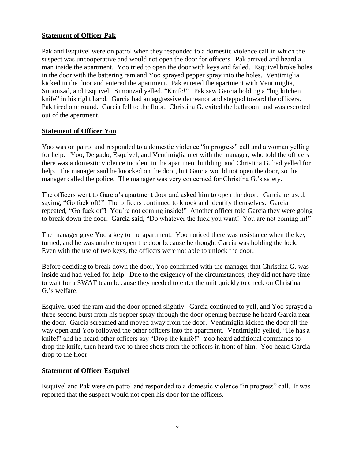## **Statement of Officer Pak**

Pak and Esquivel were on patrol when they responded to a domestic violence call in which the suspect was uncooperative and would not open the door for officers. Pak arrived and heard a man inside the apartment. Yoo tried to open the door with keys and failed. Esquivel broke holes in the door with the battering ram and Yoo sprayed pepper spray into the holes. Ventimiglia kicked in the door and entered the apartment. Pak entered the apartment with Ventimiglia, Simonzad, and Esquivel. Simonzad yelled, "Knife!" Pak saw Garcia holding a "big kitchen knife" in his right hand. Garcia had an aggressive demeanor and stepped toward the officers. Pak fired one round. Garcia fell to the floor. Christina G. exited the bathroom and was escorted out of the apartment.

#### **Statement of Officer Yoo**

Yoo was on patrol and responded to a domestic violence "in progress" call and a woman yelling for help. Yoo, Delgado, Esquivel, and Ventimiglia met with the manager, who told the officers there was a domestic violence incident in the apartment building, and Christina G. had yelled for help. The manager said he knocked on the door, but Garcia would not open the door, so the manager called the police. The manager was very concerned for Christina G.'s safety.

The officers went to Garcia's apartment door and asked him to open the door. Garcia refused, saying, "Go fuck off!" The officers continued to knock and identify themselves. Garcia repeated, "Go fuck off! You're not coming inside!" Another officer told Garcia they were going to break down the door. Garcia said, "Do whatever the fuck you want! You are not coming in!"

The manager gave Yoo a key to the apartment. Yoo noticed there was resistance when the key turned, and he was unable to open the door because he thought Garcia was holding the lock. Even with the use of two keys, the officers were not able to unlock the door.

Before deciding to break down the door, Yoo confirmed with the manager that Christina G. was inside and had yelled for help. Due to the exigency of the circumstances, they did not have time to wait for a SWAT team because they needed to enter the unit quickly to check on Christina G.'s welfare.

Esquivel used the ram and the door opened slightly. Garcia continued to yell, and Yoo sprayed a three second burst from his pepper spray through the door opening because he heard Garcia near the door. Garcia screamed and moved away from the door. Ventimiglia kicked the door all the way open and Yoo followed the other officers into the apartment. Ventimiglia yelled, "He has a knife!" and he heard other officers say "Drop the knife!" Yoo heard additional commands to drop the knife, then heard two to three shots from the officers in front of him. Yoo heard Garcia drop to the floor.

## **Statement of Officer Esquivel**

Esquivel and Pak were on patrol and responded to a domestic violence "in progress" call. It was reported that the suspect would not open his door for the officers.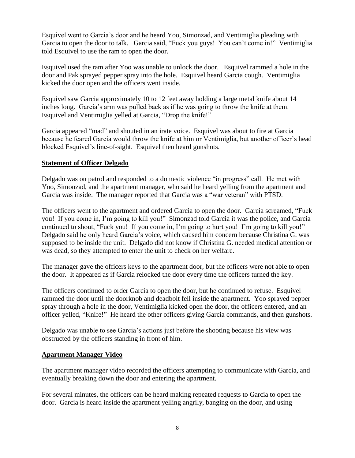Esquivel went to Garcia's door and he heard Yoo, Simonzad, and Ventimiglia pleading with Garcia to open the door to talk. Garcia said, "Fuck you guys! You can't come in!" Ventimiglia told Esquivel to use the ram to open the door.

Esquivel used the ram after Yoo was unable to unlock the door. Esquivel rammed a hole in the door and Pak sprayed pepper spray into the hole. Esquivel heard Garcia cough. Ventimiglia kicked the door open and the officers went inside.

Esquivel saw Garcia approximately 10 to 12 feet away holding a large metal knife about 14 inches long. Garcia's arm was pulled back as if he was going to throw the knife at them. Esquivel and Ventimiglia yelled at Garcia, "Drop the knife!"

Garcia appeared "mad" and shouted in an irate voice. Esquivel was about to fire at Garcia because he feared Garcia would throw the knife at him or Ventimiglia, but another officer's head blocked Esquivel's line-of-sight. Esquivel then heard gunshots.

#### **Statement of Officer Delgado**

Delgado was on patrol and responded to a domestic violence "in progress" call. He met with Yoo, Simonzad, and the apartment manager, who said he heard yelling from the apartment and Garcia was inside. The manager reported that Garcia was a "war veteran" with PTSD.

The officers went to the apartment and ordered Garcia to open the door. Garcia screamed, "Fuck you! If you come in, I'm going to kill you!" Simonzad told Garcia it was the police, and Garcia continued to shout, "Fuck you! If you come in, I'm going to hurt you! I'm going to kill you!" Delgado said he only heard Garcia's voice, which caused him concern because Christina G. was supposed to be inside the unit. Delgado did not know if Christina G. needed medical attention or was dead, so they attempted to enter the unit to check on her welfare.

The manager gave the officers keys to the apartment door, but the officers were not able to open the door. It appeared as if Garcia relocked the door every time the officers turned the key.

The officers continued to order Garcia to open the door, but he continued to refuse. Esquivel rammed the door until the doorknob and deadbolt fell inside the apartment. Yoo sprayed pepper spray through a hole in the door, Ventimiglia kicked open the door, the officers entered, and an officer yelled, "Knife!" He heard the other officers giving Garcia commands, and then gunshots.

Delgado was unable to see Garcia's actions just before the shooting because his view was obstructed by the officers standing in front of him.

#### **Apartment Manager Video**

The apartment manager video recorded the officers attempting to communicate with Garcia, and eventually breaking down the door and entering the apartment.

For several minutes, the officers can be heard making repeated requests to Garcia to open the door. Garcia is heard inside the apartment yelling angrily, banging on the door, and using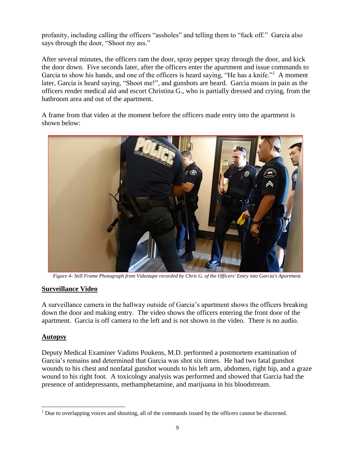profanity, including calling the officers "assholes" and telling them to "fuck off." Garcia also says through the door, "Shoot my ass."

After several minutes, the officers ram the door, spray pepper spray through the door, and kick the door down. Five seconds later, after the officers enter the apartment and issue commands to Garcia to show his hands, and one of the officers is heard saying, "He has a knife."<sup>1</sup> A moment later, Garcia is heard saying, "Shoot me!", and gunshots are heard. Garcia moans in pain as the officers render medical aid and escort Christina G., who is partially dressed and crying, from the bathroom area and out of the apartment.

A frame from that video at the moment before the officers made entry into the apartment is shown below:



*Figure 4- Still Frame Photograph from Videotape recorded by Chris G. of the Officers' Entry into Garcia's Apartment.*

#### **Surveillance Video**

A surveillance camera in the hallway outside of Garcia's apartment shows the officers breaking down the door and making entry. The video shows the officers entering the front door of the apartment. Garcia is off camera to the left and is not shown in the video. There is no audio.

#### **Autopsy**

Deputy Medical Examiner Vadims Poukens, M.D. performed a postmortem examination of Garcia's remains and determined that Garcia was shot six times. He had two fatal gunshot wounds to his chest and nonfatal gunshot wounds to his left arm, abdomen, right hip, and a graze wound to his right foot. A toxicology analysis was performed and showed that Garcia had the presence of antidepressants, methamphetamine, and marijuana in his bloodstream.

 $<sup>1</sup>$  Due to overlapping voices and shouting, all of the commands issued by the officers cannot be discerned.</sup>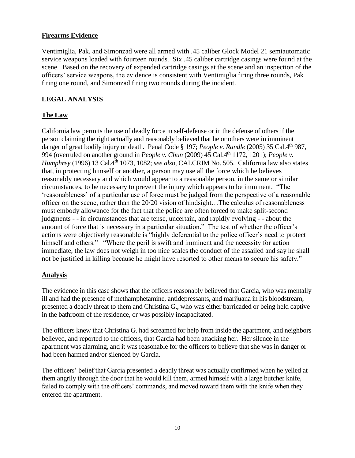## **Firearms Evidence**

Ventimiglia, Pak, and Simonzad were all armed with .45 caliber Glock Model 21 semiautomatic service weapons loaded with fourteen rounds. Six .45 caliber cartridge casings were found at the scene. Based on the recovery of expended cartridge casings at the scene and an inspection of the officers' service weapons, the evidence is consistent with Ventimiglia firing three rounds, Pak firing one round, and Simonzad firing two rounds during the incident.

# **LEGAL ANALYSIS**

# **The Law**

California law permits the use of deadly force in self-defense or in the defense of others if the person claiming the right actually and reasonably believed that he or others were in imminent danger of great bodily injury or death. Penal Code § 197; *People v. Randle* (2005) 35 Cal.4th 987, 994 (overruled on another ground in *People v. Chun* (2009) 45 Cal.4th 1172, 1201); *People v. Humphrey* (1996) 13 Cal.4th 1073, 1082; *see also,* CALCRIM No. 505. California law also states that, in protecting himself or another, a person may use all the force which he believes reasonably necessary and which would appear to a reasonable person, in the same or similar circumstances, to be necessary to prevent the injury which appears to be imminent. "The 'reasonableness' of a particular use of force must be judged from the perspective of a reasonable officer on the scene, rather than the 20/20 vision of hindsight…The calculus of reasonableness must embody allowance for the fact that the police are often forced to make split-second judgments - - in circumstances that are tense, uncertain, and rapidly evolving - - about the amount of force that is necessary in a particular situation." The test of whether the officer's actions were objectively reasonable is "highly deferential to the police officer's need to protect himself and others." "Where the peril is swift and imminent and the necessity for action immediate, the law does not weigh in too nice scales the conduct of the assailed and say he shall not be justified in killing because he might have resorted to other means to secure his safety."

## **Analysis**

The evidence in this case shows that the officers reasonably believed that Garcia, who was mentally ill and had the presence of methamphetamine, antidepressants, and marijuana in his bloodstream, presented a deadly threat to them and Christina G., who was either barricaded or being held captive in the bathroom of the residence, or was possibly incapacitated.

The officers knew that Christina G. had screamed for help from inside the apartment, and neighbors believed, and reported to the officers, that Garcia had been attacking her. Her silence in the apartment was alarming, and it was reasonable for the officers to believe that she was in danger or had been harmed and/or silenced by Garcia.

The officers' belief that Garcia presented a deadly threat was actually confirmed when he yelled at them angrily through the door that he would kill them, armed himself with a large butcher knife, failed to comply with the officers' commands, and moved toward them with the knife when they entered the apartment.